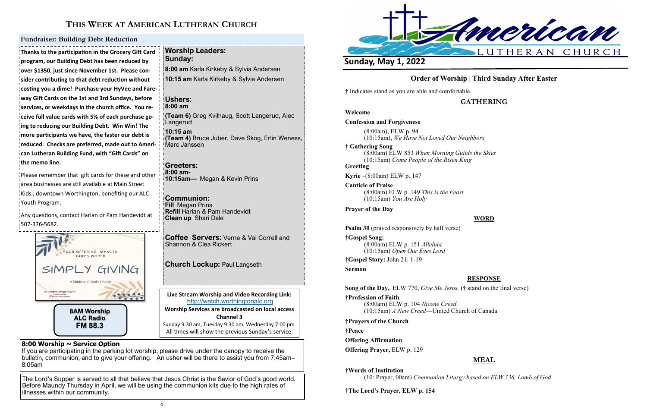

# **THIS WEEK AT AMERICAN LUTHERAN CHURCH**

**Live Stream Worship and Video Recording Link:**  <http://watch.worthingtonalc.org> **Worship Services are broadcasted on local access Channel 3** Sunday 9:30 am, Tuesday 9:30 am, Wednesday 7:00 pm All times will show the previous Sunday's service.

## **8:00 Worship ~ Service Option**

If you are participating in the parking lot worship, please drive under the canopy to receive the bulletin, communion, and to give your offering. An usher will be there to assist you from 7:45am– 8:05am

The Lord's Supper is served to all that believe that Jesus Christ is the Savior of God's good world. Before Maundy Thursday in April, we will be using the communion kits due to the high rates of illnesses within our community.

Please remember that gift cards for these and other area businesses are still available at Main Street Kids, downtown Worthington, benefiting our ALC Youth Program.

Any questions, contact Harlan or Pam Handevidt at 507-376-5682.

**Thanks to the participation in the Grocery Gift Card program, our Building Debt has been reduced by over \$1350, just since November 1st. Please consider contributing to that debt reduction without costing you a dime! Purchase your HyVee and Fareway Gift Cards on the 1st and 3rd Sundays, before services, or weekdays in the church office. You receive full value cards with 5% of each purchase going to reducing our Building Debt. Win Win! The more participants we have, the faster our debt is reduced. Checks are preferred, made out to American Lutheran Building Fund, with "Gift Cards" on the memo line.**

### **Fundraiser: Building Debt Reduction**

**Worship Leaders:** 

**Sunday:** 

**8:00 am** Karla Kirkeby & Sylvia Andersen **10:15 am** Karla Kirkeby & Sylvia Andersen

**Ushers: 8:00 am**

**(Team 6)** Greg Kvilhaug, Scott Langerud, Alec

Langerud **10:15 am** 

**(Team 4)** Bruce Juber, Dave Skog, Erlin Weness,

Marc Janssen

**Greeters: 8:00 am-**

**10:15am—** Megan & Kevin Prins

**Communion: Fill** Megan Prins

**Refill** Harlan & Pam Handevidt

**Church Lockup: Paul Langseth** 

**Clean up** Shari Dale

**Coffee Servers:** Verne & Val Correll and

Shannon & Clea Rickert



## **Order of Worship | Third Sunday After Easter**

**†** Indicates stand as you are able and comfortable.

## **GATHERING**

**Welcome Confession and Forgiveness** (8:00am), ELW p. 94 (10:15am), *We Have Not Loved Our Neighbors* **† Gathering Song**  (8:00am) ELW 853 *When Morning Guilds the Skies* (10:15am) *Come People of the Risen King* **Greeting Kyrie** –(8:00am) ELW p. 147 **Canticle of Praise** (8:00am) ELW p. 149 *This is the Feast* (10:15am) *You Are Holy* **Prayer of the Day Psalm 30** (prayed responsively by half verse)

## **WORD**

**†Gospel Song:** (8:00am) ELW p. 151 *Alleluia* (10:15am) *Open Our Eyes Lord*

**†Gospel Story:** John 21: 1-19

**Sermon**

**RESPONSE**

**Song of the Day,** ELW 770, *Give Me Jesus,* (**†** stand on the final verse) **†Profession of Faith** 

(8:00am) ELW p. 104 *Nicene Creed* (10:15am) *A New Creed*—United Church of Canada

**†Prayers of the Church**

**†Peace**

**Offering Affirmation**

**Offering Prayer,** ELW p. 129

## **MEAL**

**†Words of Institution**

(10: Prayer, 00am) *Communion Liturgy based on ELW 336, Lamb of God*

†**The Lord's Prayer, ELW p. 154**